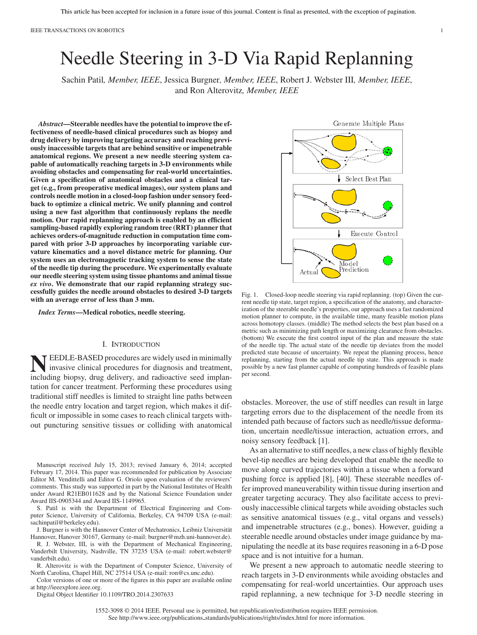IEEE TRANSACTIONS ON ROBOTICS **1** 

# Needle Steering in 3-D Via Rapid Replanning

Sachin Patil*, Member, IEEE*, Jessica Burgner*, Member, IEEE*, Robert J. Webster III*, Member, IEEE*, and Ron Alterovitz*, Member, IEEE*

*Abstract***—Steerable needles have the potential to improve the effectiveness of needle-based clinical procedures such as biopsy and drug delivery by improving targeting accuracy and reaching previously inaccessible targets that are behind sensitive or impenetrable anatomical regions. We present a new needle steering system capable of automatically reaching targets in 3-D environments while avoiding obstacles and compensating for real-world uncertainties. Given a specification of anatomical obstacles and a clinical target (e.g., from preoperative medical images), our system plans and controls needle motion in a closed-loop fashion under sensory feedback to optimize a clinical metric. We unify planning and control using a new fast algorithm that continuously replans the needle motion. Our rapid replanning approach is enabled by an efficient sampling-based rapidly exploring random tree (RRT) planner that achieves orders-of-magnitude reduction in computation time compared with prior 3-D approaches by incorporating variable curvature kinematics and a novel distance metric for planning. Our system uses an electromagnetic tracking system to sense the state of the needle tip during the procedure. We experimentally evaluate our needle steering system using tissue phantoms and animal tissue** *ex vivo***. We demonstrate that our rapid replanning strategy successfully guides the needle around obstacles to desired 3-D targets with an average error of less than 3 mm.**

*Index Terms***—Medical robotics, needle steering.**

# I. INTRODUCTION

**F** EEDLE-BASED procedures are widely used in minimally invasive clinical procedures for diagnosis and treatment, including biopsy, drug delivery, and radioactive seed implantation for cancer treatment. Performing these procedures using traditional stiff needles is limited to straight line paths between the needle entry location and target region, which makes it difficult or impossible in some cases to reach clinical targets without puncturing sensitive tissues or colliding with anatomical

Manuscript received July 15, 2013; revised January 6, 2014; accepted February 17, 2014. This paper was recommended for publication by Associate Editor M. Vendittelli and Editor G. Oriolo upon evaluation of the reviewers' comments. This study was supported in part by the National Institutes of Health under Award R21EB011628 and by the National Science Foundation under Award IIS-0905344 and Award IIS-1149965.

S. Patil is with the Department of Electrical Engineering and Computer Science, University of California, Berkeley, CA 94709 USA (e-mail: sachinpatil@berkeley.edu).

J. Burgner is with the Hannover Center of Mechatronics, Leibniz Universität Hannover, Hanover 30167, Germany (e-mail: burgner@mzh.uni-hannover.de).

R. J. Webster, III, is with the Department of Mechanical Engineering, Vanderbilt University, Nashville, TN 37235 USA (e-mail: robert.webster@ vanderbilt.edu).

R. Alterovitz is with the Department of Computer Science, University of North Carolina, Chapel Hill, NC 27514 USA (e-mail: ron@cs.unc.edu).

Color versions of one or more of the figures in this paper are available online at http://ieeexplore.ieee.org.

Digital Object Identifier 10.1109/TRO.2014.2307633



Fig. 1. Closed-loop needle steering via rapid replanning. (top) Given the current needle tip state, target region, a specification of the anatomy, and characterization of the steerable needle's properties, our approach uses a fast randomized motion planner to compute, in the available time, many feasible motion plans across homotopy classes. (middle) The method selects the best plan based on a metric such as minimizing path length or maximizing clearance from obstacles. (bottom) We execute the first control input of the plan and measure the state of the needle tip. The actual state of the needle tip deviates from the model predicted state because of uncertainty. We repeat the planning process, hence replanning, starting from the actual needle tip state. This approach is made possible by a new fast planner capable of computing hundreds of feasible plans per second.

obstacles. Moreover, the use of stiff needles can result in large targeting errors due to the displacement of the needle from its intended path because of factors such as needle/tissue deformation, uncertain needle/tissue interaction, actuation errors, and noisy sensory feedback [1].

As an alternative to stiff needles, a new class of highly flexible bevel-tip needles are being developed that enable the needle to move along curved trajectories within a tissue when a forward pushing force is applied [8], [40]. These steerable needles offer improved maneuverability within tissue during insertion and greater targeting accuracy. They also facilitate access to previously inaccessible clinical targets while avoiding obstacles such as sensitive anatomical tissues (e.g., vital organs and vessels) and impenetrable structures (e.g., bones). However, guiding a steerable needle around obstacles under image guidance by manipulating the needle at its base requires reasoning in a 6-D pose space and is not intuitive for a human.

We present a new approach to automatic needle steering to reach targets in 3-D environments while avoiding obstacles and compensating for real-world uncertainties. Our approach uses rapid replanning, a new technique for 3-D needle steering in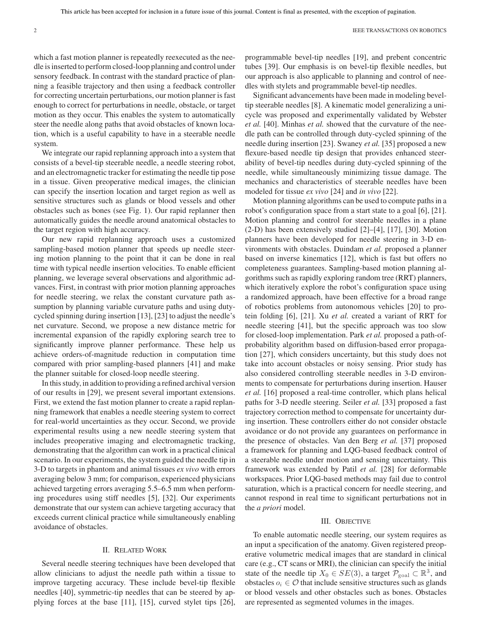which a fast motion planner is repeatedly reexecuted as the needle is inserted to perform closed-loop planning and control under sensory feedback. In contrast with the standard practice of planning a feasible trajectory and then using a feedback controller for correcting uncertain perturbations, our motion planner is fast enough to correct for perturbations in needle, obstacle, or target motion as they occur. This enables the system to automatically steer the needle along paths that avoid obstacles of known location, which is a useful capability to have in a steerable needle system.

We integrate our rapid replanning approach into a system that consists of a bevel-tip steerable needle, a needle steering robot, and an electromagnetic tracker for estimating the needle tip pose in a tissue. Given preoperative medical images, the clinician can specify the insertion location and target region as well as sensitive structures such as glands or blood vessels and other obstacles such as bones (see Fig. 1). Our rapid replanner then automatically guides the needle around anatomical obstacles to the target region with high accuracy.

Our new rapid replanning approach uses a customized sampling-based motion planner that speeds up needle steering motion planning to the point that it can be done in real time with typical needle insertion velocities. To enable efficient planning, we leverage several observations and algorithmic advances. First, in contrast with prior motion planning approaches for needle steering, we relax the constant curvature path assumption by planning variable curvature paths and using dutycycled spinning during insertion [13], [23] to adjust the needle's net curvature. Second, we propose a new distance metric for incremental expansion of the rapidly exploring search tree to significantly improve planner performance. These help us achieve orders-of-magnitude reduction in computation time compared with prior sampling-based planners [41] and make the planner suitable for closed-loop needle steering.

In this study, in addition to providing a refined archival version of our results in [29], we present several important extensions. First, we extend the fast motion planner to create a rapid replanning framework that enables a needle steering system to correct for real-world uncertainties as they occur. Second, we provide experimental results using a new needle steering system that includes preoperative imaging and electromagnetic tracking, demonstrating that the algorithm can work in a practical clinical scenario. In our experiments, the system guided the needle tip in 3-D to targets in phantom and animal tissues *ex vivo* with errors averaging below 3 mm; for comparison, experienced physicians achieved targeting errors averaging 5.5–6.5 mm when performing procedures using stiff needles [5], [32]. Our experiments demonstrate that our system can achieve targeting accuracy that exceeds current clinical practice while simultaneously enabling avoidance of obstacles.

## II. RELATED WORK

Several needle steering techniques have been developed that allow clinicians to adjust the needle path within a tissue to improve targeting accuracy. These include bevel-tip flexible needles [40], symmetric-tip needles that can be steered by applying forces at the base [11], [15], curved stylet tips [26],

programmable bevel-tip needles [19], and prebent concentric tubes [39]. Our emphasis is on bevel-tip flexible needles, but our approach is also applicable to planning and control of needles with stylets and programmable bevel-tip needles.

Significant advancements have been made in modeling beveltip steerable needles [8]. A kinematic model generalizing a unicycle was proposed and experimentally validated by Webster *et al.* [40]. Minhas *et al.* showed that the curvature of the needle path can be controlled through duty-cycled spinning of the needle during insertion [23]. Swaney *et al.* [35] proposed a new flexure-based needle tip design that provides enhanced steerability of bevel-tip needles during duty-cycled spinning of the needle, while simultaneously minimizing tissue damage. The mechanics and characteristics of steerable needles have been modeled for tissue *ex vivo* [24] and *in vivo* [22].

Motion planning algorithms can be used to compute paths in a robot's configuration space from a start state to a goal [6], [21]. Motion planning and control for steerable needles in a plane (2-D) has been extensively studied [2]–[4], [17], [30]. Motion planners have been developed for needle steering in 3-D environments with obstacles. Duindam *et al.* proposed a planner based on inverse kinematics [12], which is fast but offers no completeness guarantees. Sampling-based motion planning algorithms such as rapidly exploring random tree (RRT) planners, which iteratively explore the robot's configuration space using a randomized approach, have been effective for a broad range of robotics problems from autonomous vehicles [20] to protein folding [6], [21]. Xu *et al.* created a variant of RRT for needle steering [41], but the specific approach was too slow for closed-loop implementation. Park *et al.* proposed a path-ofprobability algorithm based on diffusion-based error propagation [27], which considers uncertainty, but this study does not take into account obstacles or noisy sensing. Prior study has also considered controlling steerable needles in 3-D environments to compensate for perturbations during insertion. Hauser *et al.* [16] proposed a real-time controller, which plans helical paths for 3-D needle steering. Seiler *et al.* [33] proposed a fast trajectory correction method to compensate for uncertainty during insertion. These controllers either do not consider obstacle avoidance or do not provide any guarantees on performance in the presence of obstacles. Van den Berg *et al.* [37] proposed a framework for planning and LQG-based feedback control of a steerable needle under motion and sensing uncertainty. This framework was extended by Patil *et al.* [28] for deformable workspaces. Prior LQG-based methods may fail due to control saturation, which is a practical concern for needle steering, and cannot respond in real time to significant perturbations not in the *a priori* model.

## III. OBJECTIVE

To enable automatic needle steering, our system requires as an input a specification of the anatomy. Given registered preoperative volumetric medical images that are standard in clinical care (e.g., CT scans or MRI), the clinician can specify the initial state of the needle tip  $X_0 \in SE(3)$ , a target  $\mathcal{P}_{goal} \subset \mathbb{R}^3$ , and obstacles  $o_i \in \mathcal{O}$  that include sensitive structures such as glands or blood vessels and other obstacles such as bones. Obstacles are represented as segmented volumes in the images.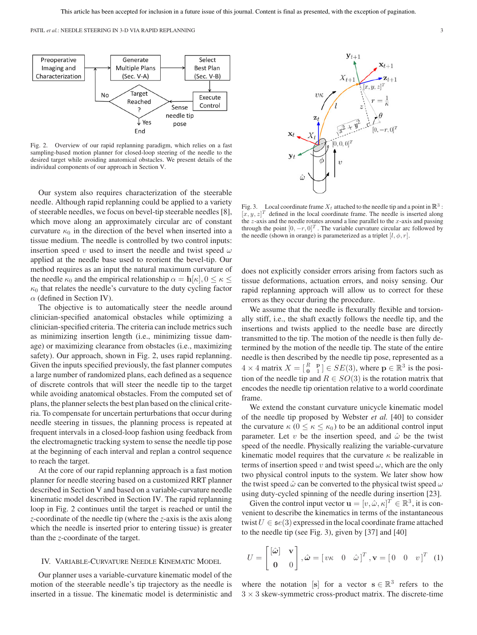

Fig. 2. Overview of our rapid replanning paradigm, which relies on a fast sampling-based motion planner for closed-loop steering of the needle to the desired target while avoiding anatomical obstacles. We present details of the individual components of our approach in Section V.

Our system also requires characterization of the steerable needle. Although rapid replanning could be applied to a variety of steerable needles, we focus on bevel-tip steerable needles [8], which move along an approximately circular arc of constant curvature  $\kappa_0$  in the direction of the bevel when inserted into a tissue medium. The needle is controlled by two control inputs: insertion speed v used to insert the needle and twist speed  $\omega$ applied at the needle base used to reorient the bevel-tip. Our method requires as an input the natural maximum curvature of the needle  $\kappa_0$  and the empirical relationship  $\alpha = \mathbf{h}[\kappa], 0 \leq \kappa \leq$  $\kappa_0$  that relates the needle's curvature to the duty cycling factor  $\alpha$  (defined in Section IV).

The objective is to automatically steer the needle around clinician-specified anatomical obstacles while optimizing a clinician-specified criteria. The criteria can include metrics such as minimizing insertion length (i.e., minimizing tissue damage) or maximizing clearance from obstacles (i.e., maximizing safety). Our approach, shown in Fig. 2, uses rapid replanning. Given the inputs specified previously, the fast planner computes a large number of randomized plans, each defined as a sequence of discrete controls that will steer the needle tip to the target while avoiding anatomical obstacles. From the computed set of plans, the planner selects the best plan based on the clinical criteria. To compensate for uncertain perturbations that occur during needle steering in tissues, the planning process is repeated at frequent intervals in a closed-loop fashion using feedback from the electromagnetic tracking system to sense the needle tip pose at the beginning of each interval and replan a control sequence to reach the target.

At the core of our rapid replanning approach is a fast motion planner for needle steering based on a customized RRT planner described in Section V and based on a variable-curvature needle kinematic model described in Section IV. The rapid replanning loop in Fig. 2 continues until the target is reached or until the *z*-coordinate of the needle tip (where the *z*-axis is the axis along which the needle is inserted prior to entering tissue) is greater than the *z*-coordinate of the target.

# IV. VARIABLE-CURVATURE NEEDLE KINEMATIC MODEL

Our planner uses a variable-curvature kinematic model of the motion of the steerable needle's tip trajectory as the needle is inserted in a tissue. The kinematic model is deterministic and



Fig. 3. Local coordinate frame  $X_t$  attached to the needle tip and a point in  $\mathbb{R}^3$ :  $[x,y,z]^T$  defined in the local coordinate frame. The needle is inserted along the  $z$ -axis and the needle rotates around a line parallel to the  $x$ -axis and passing through the point  $[0, -r, 0]^T$ . The variable curvature circular arc followed by the needle (shown in orange) is parameterized as a triplet  $[l, \phi, r]$ .

does not explicitly consider errors arising from factors such as tissue deformations, actuation errors, and noisy sensing. Our rapid replanning approach will allow us to correct for these errors as they occur during the procedure.

We assume that the needle is flexurally flexible and torsionally stiff, i.e., the shaft exactly follows the needle tip, and the insertions and twists applied to the needle base are directly transmitted to the tip. The motion of the needle is then fully determined by the motion of the needle tip. The state of the entire needle is then described by the needle tip pose, represented as a  $4 \times 4$  matrix  $X = \begin{bmatrix} R & \mathbf{p} \\ \mathbf{0} & 1 \end{bmatrix} \in SE(3)$ , where  $\mathbf{p} \in \mathbb{R}^3$  is the position of the needle tip and  $R \in SO(3)$  is the rotation matrix that encodes the needle tip orientation relative to a world coordinate frame.

We extend the constant curvature unicycle kinematic model of the needle tip proposed by Webster *et al.* [40] to consider the curvature  $\kappa$  ( $0 \leq \kappa \leq \kappa_0$ ) to be an additional control input parameter. Let v be the insertion speed, and  $\hat{\omega}$  be the twist speed of the needle. Physically realizing the variable-curvature kinematic model requires that the curvature  $\kappa$  be realizable in terms of insertion speed v and twist speed  $\omega$ , which are the only two physical control inputs to the system. We later show how the twist speed  $\hat{\omega}$  can be converted to the physical twist speed  $\omega$ using duty-cycled spinning of the needle during insertion [23].

Given the control input vector  $\mathbf{u} = [v, \hat{\omega}, \kappa]^T \in \mathbb{R}^3$ , it is convenient to describe the kinematics in terms of the instantaneous twist  $U \in \mathfrak{se}(3)$  expressed in the local coordinate frame attached to the needle tip (see Fig. 3), given by [37] and [40]

$$
U = \begin{bmatrix} [\hat{\omega}] & \mathbf{v} \\ \mathbf{0} & 0 \end{bmatrix}, \hat{\boldsymbol{\omega}} = [\boldsymbol{v}\kappa \quad 0 \quad \hat{\boldsymbol{\omega}}]^T, \mathbf{v} = \begin{bmatrix} 0 & 0 & v \end{bmatrix}^T \quad (1)
$$

where the notation [**s**] for a vector **s**  $\in \mathbb{R}^3$  refers to the  $3 \times 3$  skew-symmetric cross-product matrix. The discrete-time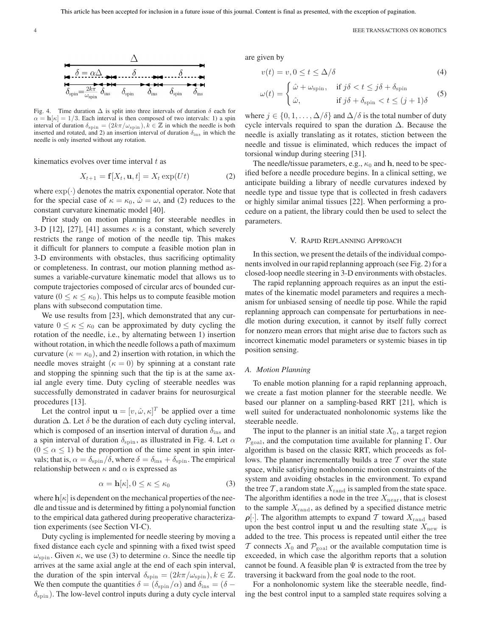

Fig. 4. Time duration  $\Delta$  is split into three intervals of duration  $\delta$  each for  $\alpha = h[\kappa] = 1/3$ . Each interval is then composed of two intervals: 1) a spin interval of duration  $\delta_{\text{spin}} = (2k\pi/\omega_{\text{spin}}), k \in \mathbb{Z}$  in which the needle is both inserted and rotated, and 2) an insertion interval of duration  $\delta_{ins}$  in which the needle is only inserted without any rotation.

kinematics evolves over time interval  $t$  as

$$
X_{t+1} = \mathbf{f}[X_t, \mathbf{u}, t] = X_t \exp(Ut) \tag{2}
$$

where  $\exp(\cdot)$  denotes the matrix exponential operator. Note that for the special case of  $\kappa = \kappa_0$ ,  $\hat{\omega} = \omega$ , and (2) reduces to the constant curvature kinematic model [40].

Prior study on motion planning for steerable needles in 3-D [12], [27], [41] assumes  $\kappa$  is a constant, which severely restricts the range of motion of the needle tip. This makes it difficult for planners to compute a feasible motion plan in 3-D environments with obstacles, thus sacrificing optimality or completeness. In contrast, our motion planning method assumes a variable-curvature kinematic model that allows us to compute trajectories composed of circular arcs of bounded curvature  $(0 \le \kappa \le \kappa_0)$ . This helps us to compute feasible motion plans with subsecond computation time.

We use results from [23], which demonstrated that any curvature  $0 \le \kappa \le \kappa_0$  can be approximated by duty cycling the rotation of the needle, i.e., by alternating between 1) insertion without rotation, in which the needle follows a path of maximum curvature ( $\kappa = \kappa_0$ ), and 2) insertion with rotation, in which the needle moves straight ( $\kappa = 0$ ) by spinning at a constant rate and stopping the spinning such that the tip is at the same axial angle every time. Duty cycling of steerable needles was successfully demonstrated in cadaver brains for neurosurgical procedures [13].

Let the control input  $\mathbf{u} = [v, \hat{\omega}, \kappa]^T$  be applied over a time duration Δ. Let δ be the duration of each duty cycling interval, which is composed of an insertion interval of duration  $\delta_{\text{ins}}$  and a spin interval of duration  $\delta_{\text{spin}}$ , as illustrated in Fig. 4. Let  $\alpha$  $(0 \le \alpha \le 1)$  be the proportion of the time spent in spin intervals; that is,  $\alpha = \delta_{\text{spin}}/\delta$ , where  $\delta = \delta_{\text{ins}} + \delta_{\text{spin}}$ . The empirical relationship between  $\kappa$  and  $\alpha$  is expressed as

$$
\alpha = \mathbf{h}[\kappa], 0 \le \kappa \le \kappa_0 \tag{3}
$$

where  $\mathbf{h}[\kappa]$  is dependent on the mechanical properties of the needle and tissue and is determined by fitting a polynomial function to the empirical data gathered during preoperative characterization experiments (see Section VI-C).

Duty cycling is implemented for needle steering by moving a fixed distance each cycle and spinning with a fixed twist speed  $\omega_{\text{spin}}$ . Given  $\kappa$ , we use (3) to determine  $\alpha$ . Since the needle tip arrives at the same axial angle at the end of each spin interval, the duration of the spin interval  $\delta_{\text{spin}} = (2k\pi/\omega_{\text{spin}}), k \in \mathbb{Z}$ . We then compute the quantities  $\delta = (\delta_{\text{spin}}/\alpha)$  and  $\delta_{\text{ins}} = (\delta \delta_{\text{spin}}$ ). The low-level control inputs during a duty cycle interval

are given by

$$
v(t) = v, 0 \le t \le \Delta/\delta \tag{4}
$$

$$
\omega(t) = \begin{cases}\n\hat{\omega} + \omega_{\text{spin}}, & \text{if } j\delta < t \le j\delta + \delta_{\text{spin}} \\
\hat{\omega}, & \text{if } j\delta + \delta_{\text{spin}} < t \le (j+1)\delta\n\end{cases}
$$
(5)

where  $j \in \{0, 1, \ldots, \Delta/\delta\}$  and  $\Delta/\delta$  is the total number of duty cycle intervals required to span the duration  $\Delta$ . Because the needle is axially translating as it rotates, stiction between the needle and tissue is eliminated, which reduces the impact of torsional windup during steering [31].

The needle/tissue parameters, e.g.,  $\kappa_0$  and **h**, need to be specified before a needle procedure begins. In a clinical setting, we anticipate building a library of needle curvatures indexed by needle type and tissue type that is collected in fresh cadavers or highly similar animal tissues [22]. When performing a procedure on a patient, the library could then be used to select the parameters.

## V. RAPID REPLANNING APPROACH

In this section, we present the details of the individual components involved in our rapid replanning approach (see Fig. 2) for a closed-loop needle steering in 3-D environments with obstacles.

The rapid replanning approach requires as an input the estimates of the kinematic model parameters and requires a mechanism for unbiased sensing of needle tip pose. While the rapid replanning approach can compensate for perturbations in needle motion during execution, it cannot by itself fully correct for nonzero mean errors that might arise due to factors such as incorrect kinematic model parameters or systemic biases in tip position sensing.

## *A. Motion Planning*

To enable motion planning for a rapid replanning approach, we create a fast motion planner for the steerable needle. We based our planner on a sampling-based RRT [21], which is well suited for underactuated nonholonomic systems like the steerable needle.

The input to the planner is an initial state  $X_0$ , a target region  $P_{\text{goal}}$ , and the computation time available for planning Γ. Our algorithm is based on the classic RRT, which proceeds as follows. The planner incrementally builds a tree  $T$  over the state space, while satisfying nonholonomic motion constraints of the system and avoiding obstacles in the environment. To expand the tree  $\mathcal T$ , a random state  $X_{\text{rand}}$  is sampled from the state space. The algorithm identifies a node in the tree  $X_{\text{near}}$ , that is closest to the sample  $X_{\text{rand}}$ , as defined by a specified distance metric  $\rho$ [·]. The algorithm attempts to expand T toward  $X_{\text{rand}}$  based upon the best control input **u** and the resulting state  $X_{\text{new}}$  is added to the tree. This process is repeated until either the tree T connects  $X_0$  and  $\mathcal{P}_{\text{goal}}$  or the available computation time is exceeded, in which case the algorithm reports that a solution cannot be found. A feasible plan  $\Psi$  is extracted from the tree by traversing it backward from the goal node to the root.

For a nonholonomic system like the steerable needle, finding the best control input to a sampled state requires solving a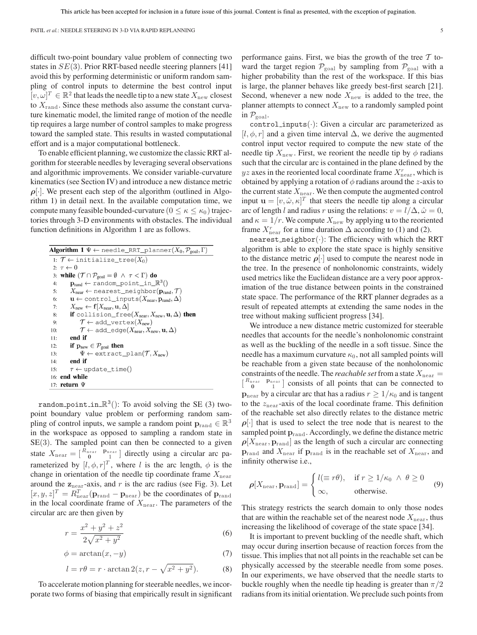difficult two-point boundary value problem of connecting two states in  $SE(3)$ . Prior RRT-based needle steering planners [41] avoid this by performing deterministic or uniform random sampling of control inputs to determine the best control input  $[v, \omega]^T \in \mathbb{R}^2$  that leads the needle tip to a new state  $X_{\text{new}}$  closest to  $X_{\text{rand}}$ . Since these methods also assume the constant curvature kinematic model, the limited range of motion of the needle tip requires a large number of control samples to make progress toward the sampled state. This results in wasted computational effort and is a major computational bottleneck.

To enable efficient planning, we customize the classic RRT algorithm for steerable needles by leveraging several observations and algorithmic improvements. We consider variable-curvature kinematics (see Section IV) and introduce a new distance metric  $\rho$ [·]. We present each step of the algorithm (outlined in Algorithm 1) in detail next. In the available computation time, we compute many feasible bounded-curvature ( $0 \le \kappa \le \kappa_0$ ) trajectories through 3-D environments with obstacles. The individual function definitions in Algorithm 1 are as follows.

**Algorithm 1**  $\Psi \leftarrow$  needle\_RRT\_planner( $X_0, \mathcal{P}_{\text{goal}}, \Gamma$ ) 1:  $\mathcal{T} \leftarrow$  initialize\_tree(X<sub>0</sub>) 2:  $\tau \leftarrow 0$ 3: while  $(\mathcal{T} \cap \mathcal{P}_{goal} = \emptyset \land \tau \lt \Gamma)$  do  $\mathbf{p}_{rand} \leftarrow \text{random\_point\_in\_R}^3()$  $4:$  $X_{\text{near}} \leftarrow$  nearest\_neighbor $(\mathbf{p}_{\text{rand}}, \mathcal{T})$  $5:$  $\mathbf{u} \leftarrow \text{control\_inputs}(X_{\text{near}}, \mathbf{p}_{\text{rand}}, \Delta)$ 6:  $X_{\text{new}} \leftarrow f[X_{\text{near}}, \mathbf{u}, \Delta]$  $7:$ if collision\_free( $X_{\text{near}}, X_{\text{new}}, \mathbf{u}, \Delta$ ) then  $8:$  $\mathcal{T} \leftarrow \text{add\_vertex}(X_{\text{new}})$  $9:$  $10:$  $\mathcal{T} \leftarrow \text{add\_edge}(X_{\text{near}}, X_{\text{new}}, \mathbf{u}, \Delta)$  $11:$ end if if  $p_{new} \in \mathcal{P}_{goal}$  then  $12:$  $\Psi \leftarrow$  extract\_plan $(\mathcal{T}, X_{\text{new}})$  $13:$ end if  $14:$  $\tau \leftarrow$  update\_time()  $15:$ 16: end while 17: return  $\Psi$ 

random point in  $\mathbb{R}^3$ (): To avoid solving the SE (3) twopoint boundary value problem or performing random sampling of control inputs, we sample a random point  $\mathbf{p}_{\text{rand}} \in \mathbb{R}^3$ in the workspace as opposed to sampling a random state in  $SE(3)$ . The sampled point can then be connected to a given state  $X_{\text{near}} = \begin{bmatrix} R_{\text{near}} & P_{\text{near}} \\ 0 & 1 \end{bmatrix}$  directly using a circular arc parameterized by  $[l, \phi, r]^T$ , where l is the arc length,  $\phi$  is the change in orientation of the needle tip coordinate frame  $X_{\text{near}}$ around the  $z_{\text{near}}$ -axis, and r is the arc radius (see Fig. 3). Let  $[x, y, z]^T = R_{\text{near}}^T (\mathbf{p}_{\text{rand}} - \mathbf{p}_{\text{near}})$  be the coordinates of  $\mathbf{p}_{\text{rand}}$ in the local coordinate frame of  $X_{\text{near}}$ . The parameters of the circular arc are then given by

$$
r = \frac{x^2 + y^2 + z^2}{2\sqrt{x^2 + y^2}}
$$
 (6)

$$
\phi = \arctan(x, -y) \tag{7}
$$

$$
l = r\theta = r \cdot \arctan 2(z, r - \sqrt{x^2 + y^2}).
$$
 (8)

To accelerate motion planning for steerable needles, we incorporate two forms of biasing that empirically result in significant performance gains. First, we bias the growth of the tree  $T$  toward the target region  $\mathcal{P}_{goal}$  by sampling from  $\mathcal{P}_{goal}$  with a higher probability than the rest of the workspace. If this bias is large, the planner behaves like greedy best-first search [21]. Second, whenever a new node  $X_{\text{new}}$  is added to the tree, the planner attempts to connect  $X_{\text{new}}$  to a randomly sampled point in  $\mathcal{P}_{\text{goal}}$ .

control inputs $(\cdot)$ : Given a circular arc parameterized as  $[l, \phi, r]$  and a given time interval  $\Delta$ , we derive the augmented control input vector required to compute the new state of the needle tip  $X_{\text{new}}$ . First, we reorient the needle tip by  $\phi$  radians such that the circular arc is contained in the plane defined by the  $yz$  axes in the reoriented local coordinate frame  $X_{\text{near}}^r$ , which is obtained by applying a rotation of  $\phi$  radians around the *z*-axis to the current state  $X_{\text{near}}$ . We then compute the augmented control input  $\mathbf{u} = [v, \hat{\omega}, \kappa]^T$  that steers the needle tip along a circular arc of length l and radius r using the relations:  $v = l/\Delta$ ,  $\hat{\omega} = 0$ , and  $\kappa = 1/r$ . We compute  $X_{\text{new}}$  by applying **u** to the reoriented frame  $X_{\text{near}}^r$  for a time duration  $\Delta$  according to (1) and (2).

nearest neighbor $(\cdot)$ : The efficiency with which the RRT algorithm is able to explore the state space is highly sensitive to the distance metric  $\rho[\cdot]$  used to compute the nearest node in the tree. In the presence of nonholonomic constraints, widely used metrics like the Euclidean distance are a very poor approximation of the true distance between points in the constrained state space. The performance of the RRT planner degrades as a result of repeated attempts at extending the same nodes in the tree without making sufficient progress [34].

We introduce a new distance metric customized for steerable needles that accounts for the needle's nonholonomic constraint as well as the buckling of the needle in a soft tissue. Since the needle has a maximum curvature  $\kappa_0$ , not all sampled points will be reachable from a given state because of the nonholonomic constraints of the needle. The *reachable set* from a state  $X_{\text{near}} =$  $\begin{bmatrix} R_{\text{near}} & P_{\text{near}} \\ 0 & 1 \end{bmatrix}$  consists of all points that can be connected to  **by a circular arc that has a radius**  $r \geq 1/\kappa_0$  **and is tangent** to the  $z_{\text{near}}$ -axis of the local coordinate frame. This definition of the reachable set also directly relates to the distance metric  $\rho$ [·] that is used to select the tree node that is nearest to the sampled point  $\mathbf{p}_{\text{rand}}$ . Accordingly, we define the distance metric  $\rho[X_{\text{near}}, \mathbf{p}_{\text{rand}}]$  as the length of such a circular arc connecting  $\mathbf{p}_{\text{rand}}$  and  $X_{\text{near}}$  if  $\mathbf{p}_{\text{rand}}$  is in the reachable set of  $X_{\text{near}}$ , and infinity otherwise i.e.,

$$
\rho[X_{\text{near}}, \mathbf{p}_{\text{rand}}] = \begin{cases} l(\equiv r\theta), & \text{if } r \ge 1/\kappa_0 \land \theta \ge 0 \\ \infty, & \text{otherwise.} \end{cases}
$$
(9)

This strategy restricts the search domain to only those nodes that are within the reachable set of the nearest node  $X_{\text{near}}$ , thus increasing the likelihood of coverage of the state space [34].

It is important to prevent buckling of the needle shaft, which may occur during insertion because of reaction forces from the tissue. This implies that not all points in the reachable set can be physically accessed by the steerable needle from some poses. In our experiments, we have observed that the needle starts to buckle roughly when the needle tip heading is greater than  $\pi/2$ radians from its initial orientation. We preclude such points from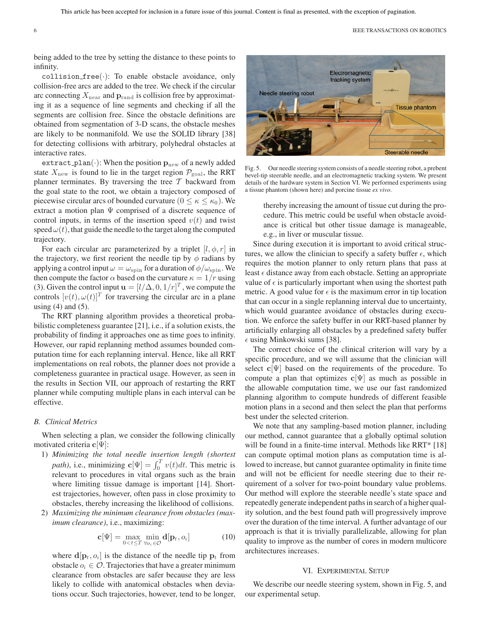being added to the tree by setting the distance to these points to infinity.

 $collision\_free(\cdot)$ : To enable obstacle avoidance, only collision-free arcs are added to the tree. We check if the circular arc connecting  $X_{\text{near}}$  and  $\mathbf{p}_{\text{rand}}$  is collision free by approximating it as a sequence of line segments and checking if all the segments are collision free. Since the obstacle definitions are obtained from segmentation of 3-D scans, the obstacle meshes are likely to be nonmanifold. We use the SOLID library [38] for detecting collisions with arbitrary, polyhedral obstacles at interactive rates.

extract\_plan(.): When the position  $p_{new}$  of a newly added state  $X_{\text{new}}$  is found to lie in the target region  $\mathcal{P}_{\text{goal}}$ , the RRT planner terminates. By traversing the tree  $T$  backward from the goal state to the root, we obtain a trajectory composed of piecewise circular arcs of bounded curvature  $(0 \le \kappa \le \kappa_0)$ . We extract a motion plan Ψ comprised of a discrete sequence of control inputs, in terms of the insertion speed  $v(t)$  and twist speed  $\omega(t)$ , that guide the needle to the target along the computed trajectory.

For each circular arc parameterized by a triplet  $[l, \phi, r]$  in the trajectory, we first reorient the needle tip by  $\phi$  radians by applying a control input  $\omega = \omega_{\text{spin}}$  for a duration of  $\phi/\omega_{\text{spin}}$ . We then compute the factor  $\alpha$  based on the curvature  $\kappa = 1/r$  using (3). Given the control input  $\mathbf{u} = [l/\Delta, 0, 1/r]^T$ , we compute the controls  $[v(t), \omega(t)]^T$  for traversing the circular arc in a plane using  $(4)$  and  $(5)$ .

The RRT planning algorithm provides a theoretical probabilistic completeness guarantee [21], i.e., if a solution exists, the probability of finding it approaches one as time goes to infinity. However, our rapid replanning method assumes bounded computation time for each replanning interval. Hence, like all RRT implementations on real robots, the planner does not provide a completeness guarantee in practical usage. However, as seen in the results in Section VII, our approach of restarting the RRT planner while computing multiple plans in each interval can be effective.

## *B. Clinical Metrics*

When selecting a plan, we consider the following clinically motivated criteria **c**[Ψ]:

- 1) *Minimizing the total needle insertion length (shortest path*), i.e., minimizing  $\mathbf{c}[\Psi] = \int_0^T v(t)dt$ . This metric is relevant to procedures in vital organs such as the brain where limiting tissue damage is important [14]. Shortest trajectories, however, often pass in close proximity to obstacles, thereby increasing the likelihood of collisions.
- 2) *Maximizing the minimum clearance from obstacles (maximum clearance)*, i.e., maximizing:

$$
\mathbf{c}[\Psi] = \max_{0 < t \leq T} \min_{\forall o_i \in \mathcal{O}} \mathbf{d}[\mathbf{p}_t, o_i] \tag{10}
$$

where  $d[\mathbf{p}_t, o_i]$  is the distance of the needle tip  $\mathbf{p}_t$  from obstacle  $o_i \in \mathcal{O}$ . Trajectories that have a greater minimum clearance from obstacles are safer because they are less likely to collide with anatomical obstacles when deviations occur. Such trajectories, however, tend to be longer,



Fig. 5. Our needle steering system consists of a needle steering robot, a prebent bevel-tip steerable needle, and an electromagnetic tracking system. We present details of the hardware system in Section VI. We performed experiments using a tissue phantom (shown here) and porcine tissue *ex vivo*.

thereby increasing the amount of tissue cut during the procedure. This metric could be useful when obstacle avoidance is critical but other tissue damage is manageable, e.g., in liver or muscular tissue.

Since during execution it is important to avoid critical structures, we allow the clinician to specify a safety buffer  $\epsilon$ , which requires the motion planner to only return plans that pass at least  $\epsilon$  distance away from each obstacle. Setting an appropriate value of  $\epsilon$  is particularly important when using the shortest path metric. A good value for  $\epsilon$  is the maximum error in tip location that can occur in a single replanning interval due to uncertainty, which would guarantee avoidance of obstacles during execution. We enforce the safety buffer in our RRT-based planner by artificially enlarging all obstacles by a predefined safety buffer  $\epsilon$  using Minkowski sums [38].

The correct choice of the clinical criterion will vary by a specific procedure, and we will assume that the clinician will select  $c[\Psi]$  based on the requirements of the procedure. To compute a plan that optimizes **c**[Ψ] as much as possible in the allowable computation time, we use our fast randomized planning algorithm to compute hundreds of different feasible motion plans in a second and then select the plan that performs best under the selected criterion.

We note that any sampling-based motion planner, including our method, cannot guarantee that a globally optimal solution will be found in a finite-time interval. Methods like RRT\* [18] can compute optimal motion plans as computation time is allowed to increase, but cannot guarantee optimality in finite time and will not be efficient for needle steering due to their requirement of a solver for two-point boundary value problems. Our method will explore the steerable needle's state space and repeatedly generate independent paths in search of a higher quality solution, and the best found path will progressively improve over the duration of the time interval. A further advantage of our approach is that it is trivially parallelizable, allowing for plan quality to improve as the number of cores in modern multicore architectures increases.

## VI. EXPERIMENTAL SETUP

We describe our needle steering system, shown in Fig. 5, and our experimental setup.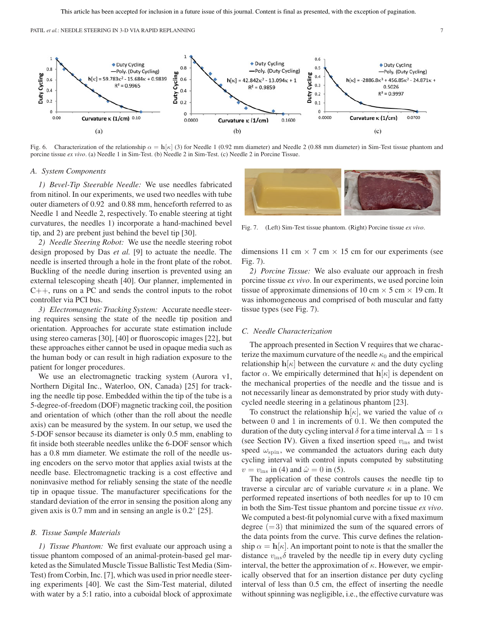PATIL *et al.*: NEEDLE STEERING IN 3-D VIA RAPID REPLANNING 7



Fig. 6. Characterization of the relationship  $\alpha = h[\kappa]$  (3) for Needle 1 (0.92 mm diameter) and Needle 2 (0.88 mm diameter) in Sim-Test tissue phantom and porcine tissue *ex vivo*. (a) Needle 1 in Sim-Test. (b) Needle 2 in Sim-Test. (c) Needle 2 in Porcine Tissue.

#### *A. System Components*

*1) Bevel-Tip Steerable Needle:* We use needles fabricated from nitinol. In our experiments, we used two needles with tube outer diameters of 0.92 and 0.88 mm, henceforth referred to as Needle 1 and Needle 2, respectively. To enable steering at tight curvatures, the needles 1) incorporate a hand-machined bevel tip, and 2) are prebent just behind the bevel tip [30].

*2) Needle Steering Robot:* We use the needle steering robot design proposed by Das *et al.* [9] to actuate the needle. The needle is inserted through a hole in the front plate of the robot. Buckling of the needle during insertion is prevented using an external telescoping sheath [40]. Our planner, implemented in C++, runs on a PC and sends the control inputs to the robot controller via PCI bus.

*3) Electromagnetic Tracking System:* Accurate needle steering requires sensing the state of the needle tip position and orientation. Approaches for accurate state estimation include using stereo cameras [30], [40] or fluoroscopic images [22], but these approaches either cannot be used in opaque media such as the human body or can result in high radiation exposure to the patient for longer procedures.

We use an electromagnetic tracking system (Aurora v1, Northern Digital Inc., Waterloo, ON, Canada) [25] for tracking the needle tip pose. Embedded within the tip of the tube is a 5-degree-of-freedom (DOF) magnetic tracking coil, the position and orientation of which (other than the roll about the needle axis) can be measured by the system. In our setup, we used the 5-DOF sensor because its diameter is only 0.5 mm, enabling to fit inside both steerable needles unlike the 6-DOF sensor which has a 0.8 mm diameter. We estimate the roll of the needle using encoders on the servo motor that applies axial twists at the needle base. Electromagnetic tracking is a cost effective and noninvasive method for reliably sensing the state of the needle tip in opaque tissue. The manufacturer specifications for the standard deviation of the error in sensing the position along any given axis is 0.7 mm and in sensing an angle is 0.2◦ [25].

#### *B. Tissue Sample Materials*

*1) Tissue Phantom:* We first evaluate our approach using a tissue phantom composed of an animal-protein-based gel marketed as the Simulated Muscle Tissue Ballistic Test Media (Sim-Test) from Corbin, Inc. [7], which was used in prior needle steering experiments [40]. We cast the Sim-Test material, diluted with water by a 5:1 ratio, into a cuboidal block of approximate



Fig. 7. (Left) Sim-Test tissue phantom. (Right) Porcine tissue *ex vivo*.

dimensions 11 cm  $\times$  7 cm  $\times$  15 cm for our experiments (see Fig. 7).

*2) Porcine Tissue:* We also evaluate our approach in fresh porcine tissue *ex vivo*. In our experiments, we used porcine loin tissue of approximate dimensions of 10 cm  $\times$  5 cm  $\times$  19 cm. It was inhomogeneous and comprised of both muscular and fatty tissue types (see Fig. 7).

#### *C. Needle Characterization*

The approach presented in Section V requires that we characterize the maximum curvature of the needle  $\kappa_0$  and the empirical relationship  $h[\kappa]$  between the curvature  $\kappa$  and the duty cycling factor  $\alpha$ . We empirically determined that  $\mathbf{h}[\kappa]$  is dependent on the mechanical properties of the needle and the tissue and is not necessarily linear as demonstrated by prior study with dutycycled needle steering in a gelatinous phantom [23].

To construct the relationship  $h[\kappa]$ , we varied the value of  $\alpha$ between 0 and 1 in increments of 0.1. We then computed the duration of the duty cycling interval  $\delta$  for a time interval  $\Delta = 1$  s (see Section IV). Given a fixed insertion speed  $v_{\text{ins}}$  and twist speed  $\omega_{\rm spin}$ , we commanded the actuators during each duty cycling interval with control inputs computed by substituting  $v = v_{\text{ins}}$  in (4) and  $\hat{\omega} = 0$  in (5).

The application of these controls causes the needle tip to traverse a circular arc of variable curvature  $\kappa$  in a plane. We performed repeated insertions of both needles for up to 10 cm in both the Sim-Test tissue phantom and porcine tissue *ex vivo*. We computed a best-fit polynomial curve with a fixed maximum degree  $(=3)$  that minimized the sum of the squared errors of the data points from the curve. This curve defines the relationship  $\alpha = \mathbf{h}[\kappa]$ . An important point to note is that the smaller the distance  $v_{\text{ins}}\delta$  traveled by the needle tip in every duty cycling interval, the better the approximation of  $\kappa$ . However, we empirically observed that for an insertion distance per duty cycling interval of less than 0.5 cm, the effect of inserting the needle without spinning was negligible, i.e., the effective curvature was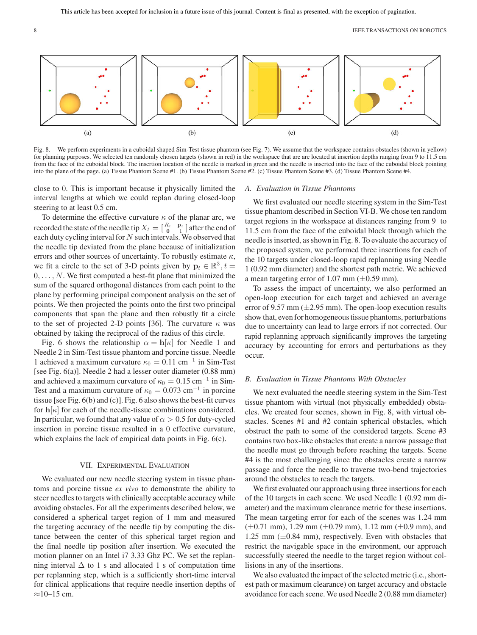

Fig. 8. We perform experiments in a cuboidal shaped Sim-Test tissue phantom (see Fig. 7). We assume that the workspace contains obstacles (shown in yellow) for planning purposes. We selected ten randomly chosen targets (shown in red) in the workspace that are are located at insertion depths ranging from 9 to 11.5 cm from the face of the cuboidal block. The insertion location of the needle is marked in green and the needle is inserted into the face of the cuboidal block pointing into the plane of the page. (a) Tissue Phantom Scene #1. (b) Tissue Phantom Scene #2. (c) Tissue Phantom Scene #3. (d) Tissue Phantom Scene #4.

close to 0. This is important because it physically limited the interval lengths at which we could replan during closed-loop steering to at least 0.5 cm.

To determine the effective curvature  $\kappa$  of the planar arc, we recorded the state of the needle tip  $X_t = \begin{bmatrix} R_t & \mathbf{p}_t \\ \mathbf{0} & 1 \end{bmatrix}$  after the end of each duty cycling interval for  $N$  such intervals. We observed that the needle tip deviated from the plane because of initialization errors and other sources of uncertainty. To robustly estimate  $\kappa$ , we fit a circle to the set of 3-D points given by  $\mathbf{p}_t \in \mathbb{R}^3$ ,  $t =$  $0, \ldots, N$ . We first computed a best-fit plane that minimized the sum of the squared orthogonal distances from each point to the plane by performing principal component analysis on the set of points. We then projected the points onto the first two principal components that span the plane and then robustly fit a circle to the set of projected 2-D points [36]. The curvature  $\kappa$  was obtained by taking the reciprocal of the radius of this circle.

Fig. 6 shows the relationship  $\alpha = h[\kappa]$  for Needle 1 and Needle 2 in Sim-Test tissue phantom and porcine tissue. Needle 1 achieved a maximum curvature  $\kappa_0 = 0.11$  cm<sup>-1</sup> in Sim-Test [see Fig. 6(a)]. Needle 2 had a lesser outer diameter (0.88 mm) and achieved a maximum curvature of  $\kappa_0 = 0.15$  cm<sup>-1</sup> in Sim-Test and a maximum curvature of  $\kappa_0 = 0.073$  cm<sup>-1</sup> in porcine tissue [see Fig. 6(b) and (c)]. Fig. 6 also shows the best-fit curves for  $h[\kappa]$  for each of the needle-tissue combinations considered. In particular, we found that any value of  $\alpha > 0.5$  for duty-cycled insertion in porcine tissue resulted in a 0 effective curvature, which explains the lack of empirical data points in Fig.  $6(c)$ .

#### VII. EXPERIMENTAL EVALUATION

We evaluated our new needle steering system in tissue phantoms and porcine tissue *ex vivo* to demonstrate the ability to steer needles to targets with clinically acceptable accuracy while avoiding obstacles. For all the experiments described below, we considered a spherical target region of 1 mm and measured the targeting accuracy of the needle tip by computing the distance between the center of this spherical target region and the final needle tip position after insertion. We executed the motion planner on an Intel i7 3.33 Ghz PC. We set the replanning interval  $\Delta$  to 1 s and allocated 1 s of computation time per replanning step, which is a sufficiently short-time interval for clinical applications that require needle insertion depths of ≈10–15 cm.

## *A. Evaluation in Tissue Phantoms*

We first evaluated our needle steering system in the Sim-Test tissue phantom described in Section VI-B. We chose ten random target regions in the workspace at distances ranging from 9 to 11.5 cm from the face of the cuboidal block through which the needle is inserted, as shown in Fig. 8. To evaluate the accuracy of the proposed system, we performed three insertions for each of the 10 targets under closed-loop rapid replanning using Needle 1 (0.92 mm diameter) and the shortest path metric. We achieved a mean targeting error of 1.07 mm  $(\pm 0.59 \text{ mm})$ .

To assess the impact of uncertainty, we also performed an open-loop execution for each target and achieved an average error of 9.57 mm  $(\pm 2.95 \text{ mm})$ . The open-loop execution results show that, even for homogeneous tissue phantoms, perturbations due to uncertainty can lead to large errors if not corrected. Our rapid replanning approach significantly improves the targeting accuracy by accounting for errors and perturbations as they occur.

# *B. Evaluation in Tissue Phantoms With Obstacles*

We next evaluated the needle steering system in the Sim-Test tissue phantom with virtual (not physically embedded) obstacles. We created four scenes, shown in Fig. 8, with virtual obstacles. Scenes #1 and #2 contain spherical obstacles, which obstruct the path to some of the considered targets. Scene #3 contains two box-like obstacles that create a narrow passage that the needle must go through before reaching the targets. Scene #4 is the most challenging since the obstacles create a narrow passage and force the needle to traverse two-bend trajectories around the obstacles to reach the targets.

We first evaluated our approach using three insertions for each of the 10 targets in each scene. We used Needle 1 (0.92 mm diameter) and the maximum clearance metric for these insertions. The mean targeting error for each of the scenes was 1.24 mm  $(\pm 0.71 \text{ mm})$ , 1.29 mm  $(\pm 0.79 \text{ mm})$ , 1.12 mm  $(\pm 0.9 \text{ mm})$ , and 1.25 mm  $(\pm 0.84$  mm), respectively. Even with obstacles that restrict the navigable space in the environment, our approach successfully steered the needle to the target region without collisions in any of the insertions.

We also evaluated the impact of the selected metric (i.e., shortest path or maximum clearance) on target accuracy and obstacle avoidance for each scene. We used Needle 2 (0.88 mm diameter)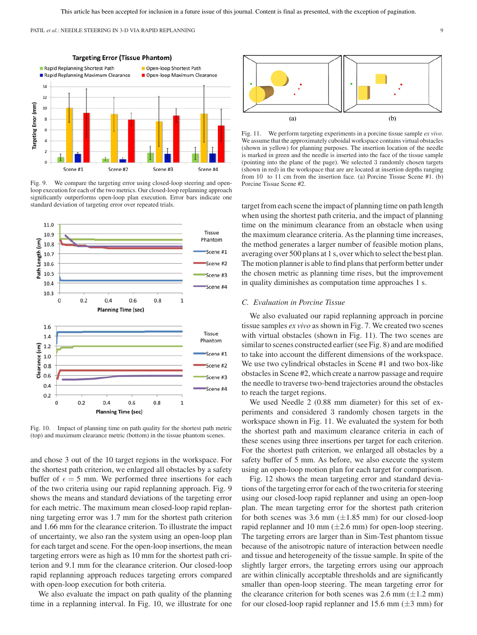

Fig. 9. We compare the targeting error using closed-loop steering and openloop execution for each of the two metrics. Our closed-loop replanning approach significantly outperforms open-loop plan execution. Error bars indicate one standard deviation of targeting error over repeated trials.



Fig. 10. Impact of planning time on path quality for the shortest path metric (top) and maximum clearance metric (bottom) in the tissue phantom scenes.

and chose 3 out of the 10 target regions in the workspace. For the shortest path criterion, we enlarged all obstacles by a safety buffer of  $\epsilon = 5$  mm. We performed three insertions for each of the two criteria using our rapid replanning approach. Fig. 9 shows the means and standard deviations of the targeting error for each metric. The maximum mean closed-loop rapid replanning targeting error was 1.7 mm for the shortest path criterion and 1.66 mm for the clearance criterion. To illustrate the impact of uncertainty, we also ran the system using an open-loop plan for each target and scene. For the open-loop insertions, the mean targeting errors were as high as 10 mm for the shortest path criterion and 9.1 mm for the clearance criterion. Our closed-loop rapid replanning approach reduces targeting errors compared with open-loop execution for both criteria.

We also evaluate the impact on path quality of the planning time in a replanning interval. In Fig. 10, we illustrate for one



Fig. 11. We perform targeting experiments in a porcine tissue sample *ex vivo*. We assume that the approximately cuboidal workspace contains virtual obstacles (shown in yellow) for planning purposes. The insertion location of the needle is marked in green and the needle is inserted into the face of the tissue sample (pointing into the plane of the page). We selected 3 randomly chosen targets (shown in red) in the workspace that are are located at insertion depths ranging from 10 to 11 cm from the insertion face. (a) Porcine Tissue Scene #1. (b) Porcine Tissue Scene #2.

target from each scene the impact of planning time on path length when using the shortest path criteria, and the impact of planning time on the minimum clearance from an obstacle when using the maximum clearance criteria. As the planning time increases, the method generates a larger number of feasible motion plans, averaging over 500 plans at 1 s, over which to select the best plan. The motion planner is able to find plans that perform better under the chosen metric as planning time rises, but the improvement in quality diminishes as computation time approaches 1 s.

### *C. Evaluation in Porcine Tissue*

We also evaluated our rapid replanning approach in porcine tissue samples *ex vivo* as shown in Fig. 7. We created two scenes with virtual obstacles (shown in Fig. 11). The two scenes are similar to scenes constructed earlier (see Fig. 8) and are modified to take into account the different dimensions of the workspace. We use two cylindrical obstacles in Scene #1 and two box-like obstacles in Scene #2, which create a narrow passage and require the needle to traverse two-bend trajectories around the obstacles to reach the target regions.

We used Needle 2 (0.88 mm diameter) for this set of experiments and considered 3 randomly chosen targets in the workspace shown in Fig. 11. We evaluated the system for both the shortest path and maximum clearance criteria in each of these scenes using three insertions per target for each criterion. For the shortest path criterion, we enlarged all obstacles by a safety buffer of 5 mm. As before, we also execute the system using an open-loop motion plan for each target for comparison.

Fig. 12 shows the mean targeting error and standard deviations of the targeting error for each of the two criteria for steering using our closed-loop rapid replanner and using an open-loop plan. The mean targeting error for the shortest path criterion for both scenes was 3.6 mm  $(\pm 1.85 \text{ mm})$  for our closed-loop rapid replanner and 10 mm  $(\pm 2.6 \text{ mm})$  for open-loop steering. The targeting errors are larger than in Sim-Test phantom tissue because of the anisotropic nature of interaction between needle and tissue and heterogeneity of the tissue sample. In spite of the slightly larger errors, the targeting errors using our approach are within clinically acceptable thresholds and are significantly smaller than open-loop steering. The mean targeting error for the clearance criterion for both scenes was  $2.6$  mm ( $\pm 1.2$  mm) for our closed-loop rapid replanner and 15.6 mm  $(\pm 3 \text{ mm})$  for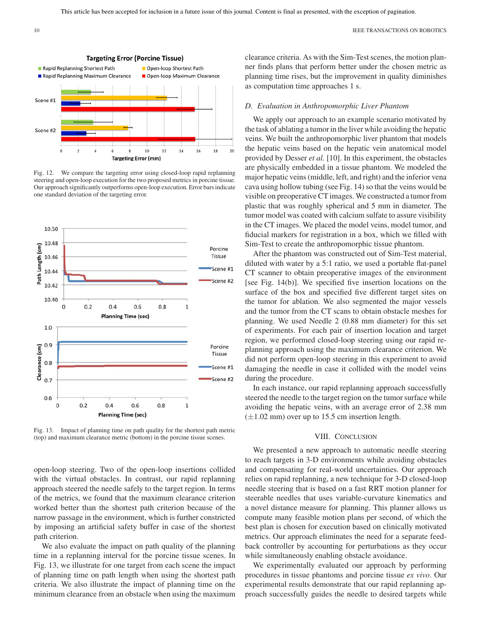

Fig. 12. We compare the targeting error using closed-loop rapid replanning steering and open-loop execution for the two proposed metrics in porcine tissue. Our approach significantly outperforms open-loop execution. Error bars indicate one standard deviation of the targeting error.



Fig. 13. Impact of planning time on path quality for the shortest path metric (top) and maximum clearance metric (bottom) in the porcine tissue scenes.

open-loop steering. Two of the open-loop insertions collided with the virtual obstacles. In contrast, our rapid replanning approach steered the needle safely to the target region. In terms of the metrics, we found that the maximum clearance criterion worked better than the shortest path criterion because of the narrow passage in the environment, which is further constricted by imposing an artificial safety buffer in case of the shortest path criterion.

We also evaluate the impact on path quality of the planning time in a replanning interval for the porcine tissue scenes. In Fig. 13, we illustrate for one target from each scene the impact of planning time on path length when using the shortest path criteria. We also illustrate the impact of planning time on the minimum clearance from an obstacle when using the maximum

clearance criteria. As with the Sim-Test scenes, the motion planner finds plans that perform better under the chosen metric as planning time rises, but the improvement in quality diminishes as computation time approaches 1 s.

## *D. Evaluation in Anthropomorphic Liver Phantom*

We apply our approach to an example scenario motivated by the task of ablating a tumor in the liver while avoiding the hepatic veins. We built the anthropomorphic liver phantom that models the hepatic veins based on the hepatic vein anatomical model provided by Desser *et al.* [10]. In this experiment, the obstacles are physically embedded in a tissue phantom. We modeled the major hepatic veins (middle, left, and right) and the inferior vena cava using hollow tubing (see Fig. 14) so that the veins would be visible on preoperative CT images. We constructed a tumor from plastic that was roughly spherical and 5 mm in diameter. The tumor model was coated with calcium sulfate to assure visibility in the CT images. We placed the model veins, model tumor, and fiducial markers for registration in a box, which we filled with Sim-Test to create the anthropomorphic tissue phantom.

After the phantom was constructed out of Sim-Test material, diluted with water by a 5:1 ratio, we used a portable flat-panel CT scanner to obtain preoperative images of the environment [see Fig. 14(b)]. We specified five insertion locations on the surface of the box and specified five different target sites on the tumor for ablation. We also segmented the major vessels and the tumor from the CT scans to obtain obstacle meshes for planning. We used Needle 2 (0.88 mm diameter) for this set of experiments. For each pair of insertion location and target region, we performed closed-loop steering using our rapid replanning approach using the maximum clearance criterion. We did not perform open-loop steering in this experiment to avoid damaging the needle in case it collided with the model veins during the procedure.

In each instance, our rapid replanning approach successfully steered the needle to the target region on the tumor surface while avoiding the hepatic veins, with an average error of 2.38 mm  $(\pm 1.02 \text{ mm})$  over up to 15.5 cm insertion length.

## VIII. CONCLUSION

We presented a new approach to automatic needle steering to reach targets in 3-D environments while avoiding obstacles and compensating for real-world uncertainties. Our approach relies on rapid replanning, a new technique for 3-D closed-loop needle steering that is based on a fast RRT motion planner for steerable needles that uses variable-curvature kinematics and a novel distance measure for planning. This planner allows us compute many feasible motion plans per second, of which the best plan is chosen for execution based on clinically motivated metrics. Our approach eliminates the need for a separate feedback controller by accounting for perturbations as they occur while simultaneously enabling obstacle avoidance.

We experimentally evaluated our approach by performing procedures in tissue phantoms and porcine tissue *ex vivo*. Our experimental results demonstrate that our rapid replanning approach successfully guides the needle to desired targets while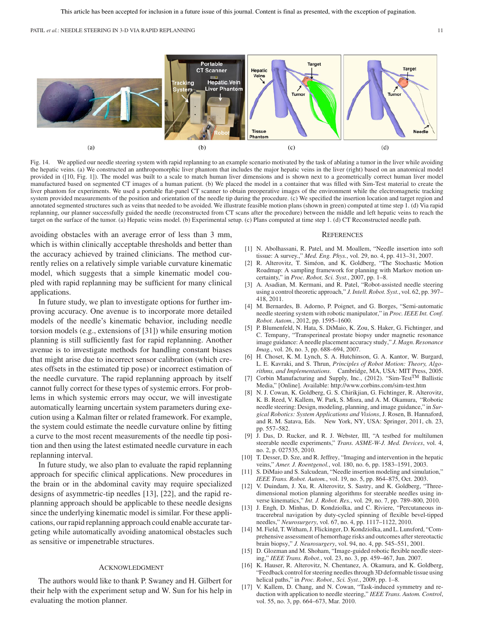

Fig. 14. We applied our needle steering system with rapid replanning to an example scenario motivated by the task of ablating a tumor in the liver while avoiding the hepatic veins. (a) We constructed an anthropomorphic liver phantom that includes the major hepatic veins in the liver (right) based on an anatomical model provided in ([10, Fig. 1]). The model was built to a scale to match human liver dimensions and is shown next to a geometrically correct human liver model manufactured based on segmented CT images of a human patient. (b) We placed the model in a container that was filled with Sim-Test material to create the liver phantom for experiments. We used a portable flat-panel CT scanner to obtain preoperative images of the environment while the electromagnetic tracking system provided measurements of the position and orientation of the needle tip during the procedure. (c) We specified the insertion location and target region and annotated segmented structures such as veins that needed to be avoided. We illustrate feasible motion plans (shown in green) computed at time step 1. (d) Via rapid replanning, our planner successfully guided the needle (reconstructed from CT scans after the procedure) between the middle and left hepatic veins to reach the target on the surface of the tumor. (a) Hepatic veins model. (b) Experimental setup. (c) Plans computed at time step 1. (d) CT Reconstructed needle path.

avoiding obstacles with an average error of less than 3 mm, which is within clinically acceptable thresholds and better than the accuracy achieved by trained clinicians. The method currently relies on a relatively simple variable curvature kinematic model, which suggests that a simple kinematic model coupled with rapid replanning may be sufficient for many clinical applications.

In future study, we plan to investigate options for further improving accuracy. One avenue is to incorporate more detailed models of the needle's kinematic behavior, including needle torsion models (e.g., extensions of [31]) while ensuring motion planning is still sufficiently fast for rapid replanning. Another avenue is to investigate methods for handling constant biases that might arise due to incorrect sensor calibration (which creates offsets in the estimated tip pose) or incorrect estimation of the needle curvature. The rapid replanning approach by itself cannot fully correct for these types of systemic errors. For problems in which systemic errors may occur, we will investigate automatically learning uncertain system parameters during execution using a Kalman filter or related framework. For example, the system could estimate the needle curvature online by fitting a curve to the most recent measurements of the needle tip position and then using the latest estimated needle curvature in each replanning interval.

In future study, we also plan to evaluate the rapid replanning approach for specific clinical applications. New procedures in the brain or in the abdominal cavity may require specialized designs of asymmetric-tip needles [13], [22], and the rapid replanning approach should be applicable to these needle designs since the underlying kinematic model is similar. For these applications, our rapid replanning approach could enable accurate targeting while automatically avoiding anatomical obstacles such as sensitive or impenetrable structures.

# ACKNOWLEDGMENT

The authors would like to thank P. Swaney and H. Gilbert for their help with the experiment setup and W. Sun for his help in evaluating the motion planner.

## **REFERENCES**

- [1] N. Abolhassani, R. Patel, and M. Moallem, "Needle insertion into soft tissue: A survey.," *Med. Eng. Phys.*, vol. 29, no. 4, pp. 413–31, 2007.
- [2] R. Alterovitz, T. Siméon, and K. Goldberg, "The Stochastic Motion Roadmap: A sampling framework for planning with Markov motion uncertainty," in *Proc. Robot, Sci. Syst.*, 2007, pp. 1–8.
- [3] A. Asadian, M. Kermani, and R. Patel, "Robot-assisted needle steering using a control theoretic approach," *J. Intell. Robot. Syst.*, vol. 62, pp. 397– 418, 2011.
- [4] M. Bernardes, B. Adorno, P. Poignet, and G. Borges, "Semi-automatic needle steering system with robotic manipulator," in *Proc. IEEE Int. Conf. Robot. Autom.*, 2012, pp. 1595–1600.
- [5] P. Blumenfeld, N. Hata, S. DiMaio, K. Zou, S. Haker, G. Fichtinger, and C. Tempany, "Transperineal prostate biopsy under magnetic resonance image guidance: A needle placement accuracy study," *J. Magn. Resonance Imag.*, vol. 26, no. 3, pp. 688–694, 2007.
- [6] H. Choset, K. M. Lynch, S. A. Hutchinson, G. A. Kantor, W. Burgard, L. E. Kavraki, and S. Thrun, *Principles of Robot Motion: Theory, Algorithms, and Implementations*. Cambridge, MA, USA: MIT Press, 2005.
- [7] Corbin Manufacturing and Supply, Inc., (2012). "Sim-TestTM Ballistic Media," [Online]. Available: http://www.corbins.com/sim-test.htm
- [8] N. J. Cowan, K. Goldberg, G. S. Chirikjian, G. Fichtinger, R. Alterovitz, K. B. Reed, V. Kallem, W. Park, S. Misra, and A. M. Okamura, "Robotic needle steering: Design, modeling, planning, and image guidance," in *Surgical Robotics: System Applications and Visions*, J. Rosen, B. Hannaford, and R. M. Satava, Eds. New York, NY, USA: Springer, 2011, ch. 23, pp. 557–582.
- [9] J. Das, D. Rucker, and R. J. Webster, III, "A testbed for multilumen steerable needle experiments," *Trans. ASME-W-J. Med. Devices*, vol. 4, no. 2, p. 027535, 2010.
- [10] T. Desser, D. Sze, and R. Jeffrey, "Imaging and intervention in the hepatic veins," *Amer. J. Roentgenol.*, vol. 180, no. 6, pp. 1583–1591, 2003.
- [11] S. DiMaio and S. Salcudean, "Needle insertion modeling and simulation," *IEEE Trans. Robot. Autom.*, vol. 19, no. 5, pp. 864–875, Oct. 2003.
- [12] V. Duindam, J. Xu, R. Alterovitz, S. Sastry, and K. Goldberg, "Threedimensional motion planning algorithms for steerable needles using inverse kinematics," *Int. J. Robot. Res.*, vol. 29, no. 7, pp. 789–800, 2010.
- [13] J. Engh, D. Minhas, D. Kondziolka, and C. Riviere, "Percutaneous intracerebral navigation by duty-cycled spinning of flexible bevel-tipped needles," *Neurosurgery*, vol. 67, no. 4, pp. 1117–1122, 2010.
- [14] M. Field, T. Witham, J. Flickinger, D. Kondziolka, and L. Lunsford, "Comprehensive assessment of hemorrhage risks and outcomes after stereotactic brain biopsy," *J. Neurosurgery*, vol. 94, no. 4, pp. 545–551, 2001.
- [15] D. Glozman and M. Shoham, "Image-guided robotic flexible needle steering," *IEEE Trans. Robot.*, vol. 23, no. 3, pp. 459–467, Jun. 2007.
- [16] K. Hauser, R. Alterovitz, N. Chentanez, A. Okamura, and K. Goldberg, "Feedback control for steering needles through 3D deformable tissue using helical paths," in *Proc. Robot., Sci. Syst.*, 2009, pp. 1–8.
- [17] V. Kallem, D. Chang, and N. Cowan, "Task-induced symmetry and reduction with application to needle steering," *IEEE Trans. Autom. Control*, vol. 55, no. 3, pp. 664–673, Mar. 2010.